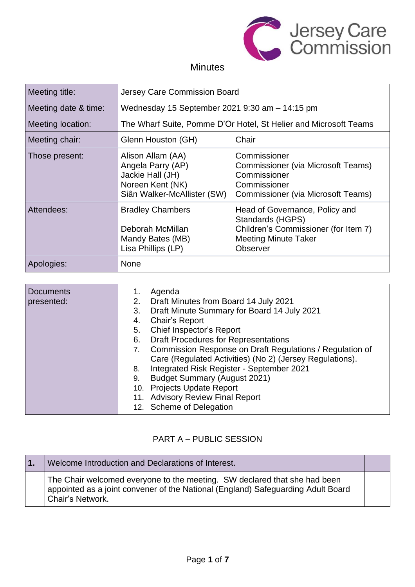

# **Minutes**

| Meeting title:       | <b>Jersey Care Commission Board</b>                                                                           |                                                                                                                                       |
|----------------------|---------------------------------------------------------------------------------------------------------------|---------------------------------------------------------------------------------------------------------------------------------------|
| Meeting date & time: | Wednesday 15 September 2021 9:30 am - 14:15 pm                                                                |                                                                                                                                       |
| Meeting location:    | The Wharf Suite, Pomme D'Or Hotel, St Helier and Microsoft Teams                                              |                                                                                                                                       |
| Meeting chair:       | Chair<br>Glenn Houston (GH)                                                                                   |                                                                                                                                       |
| Those present:       | Alison Allam (AA)<br>Angela Parry (AP)<br>Jackie Hall (JH)<br>Noreen Kent (NK)<br>Siân Walker-McAllister (SW) | Commissioner<br>Commissioner (via Microsoft Teams)<br>Commissioner<br>Commissioner<br>Commissioner (via Microsoft Teams)              |
| Attendees:           | <b>Bradley Chambers</b><br>Deborah McMillan<br>Mandy Bates (MB)<br>Lisa Phillips (LP)                         | Head of Governance, Policy and<br>Standards (HGPS)<br>Children's Commissioner (for Item 7)<br><b>Meeting Minute Taker</b><br>Observer |
| Apologies:           | <b>None</b>                                                                                                   |                                                                                                                                       |

| <b>Documents</b><br>presented: | Agenda<br>1.<br>Draft Minutes from Board 14 July 2021<br>2.<br>Draft Minute Summary for Board 14 July 2021<br>3.<br>Chair's Report<br>4.<br>Chief Inspector's Report<br>5.<br><b>Draft Procedures for Representations</b><br>6.<br>Commission Response on Draft Regulations / Regulation of<br>7.<br>Care (Regulated Activities) (No 2) (Jersey Regulations).<br>Integrated Risk Register - September 2021<br>8. |
|--------------------------------|------------------------------------------------------------------------------------------------------------------------------------------------------------------------------------------------------------------------------------------------------------------------------------------------------------------------------------------------------------------------------------------------------------------|
|                                | <b>Budget Summary (August 2021)</b><br>9.<br>10. Projects Update Report<br>11. Advisory Review Final Report<br>12. Scheme of Delegation                                                                                                                                                                                                                                                                          |

### PART A – PUBLIC SESSION

| Welcome Introduction and Declarations of Interest.                                                                                                                                |  |
|-----------------------------------------------------------------------------------------------------------------------------------------------------------------------------------|--|
| The Chair welcomed everyone to the meeting. SW declared that she had been<br>appointed as a joint convener of the National (England) Safeguarding Adult Board<br>Chair's Network. |  |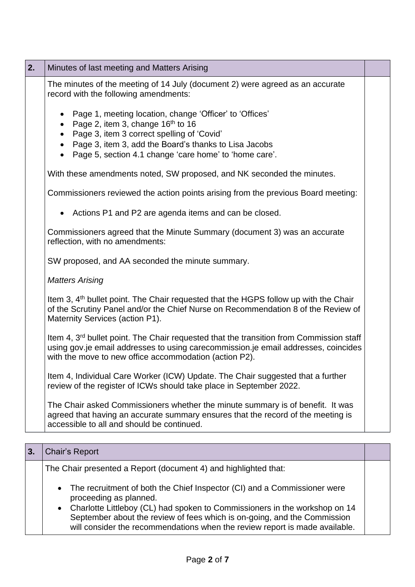| 2. | Minutes of last meeting and Matters Arising                                                                                                                                                                                                                                            |  |
|----|----------------------------------------------------------------------------------------------------------------------------------------------------------------------------------------------------------------------------------------------------------------------------------------|--|
|    | The minutes of the meeting of 14 July (document 2) were agreed as an accurate<br>record with the following amendments:                                                                                                                                                                 |  |
|    | Page 1, meeting location, change 'Officer' to 'Offices'<br>Page 2, item 3, change 16 <sup>th</sup> to 16<br>$\bullet$<br>Page 3, item 3 correct spelling of 'Covid'<br>Page 3, item 3, add the Board's thanks to Lisa Jacobs<br>Page 5, section 4.1 change 'care home' to 'home care'. |  |
|    | With these amendments noted, SW proposed, and NK seconded the minutes.                                                                                                                                                                                                                 |  |
|    | Commissioners reviewed the action points arising from the previous Board meeting:                                                                                                                                                                                                      |  |
|    | Actions P1 and P2 are agenda items and can be closed.                                                                                                                                                                                                                                  |  |
|    | Commissioners agreed that the Minute Summary (document 3) was an accurate<br>reflection, with no amendments:                                                                                                                                                                           |  |
|    | SW proposed, and AA seconded the minute summary.                                                                                                                                                                                                                                       |  |
|    | <b>Matters Arising</b>                                                                                                                                                                                                                                                                 |  |
|    | Item 3, 4 <sup>th</sup> bullet point. The Chair requested that the HGPS follow up with the Chair<br>of the Scrutiny Panel and/or the Chief Nurse on Recommendation 8 of the Review of<br>Maternity Services (action P1).                                                               |  |
|    | Item 4, 3 <sup>rd</sup> bullet point. The Chair requested that the transition from Commission staff<br>using gov.je email addresses to using carecommission.je email addresses, coincides<br>with the move to new office accommodation (action P2).                                    |  |
|    | Item 4, Individual Care Worker (ICW) Update. The Chair suggested that a further<br>review of the register of ICWs should take place in September 2022.                                                                                                                                 |  |
|    | The Chair asked Commissioners whether the minute summary is of benefit. It was<br>agreed that having an accurate summary ensures that the record of the meeting is<br>accessible to all and should be continued.                                                                       |  |
| 3. | Chair's Report                                                                                                                                                                                                                                                                         |  |

| 0.                                                                                                                                                                                                                                                                                                                                              |  |
|-------------------------------------------------------------------------------------------------------------------------------------------------------------------------------------------------------------------------------------------------------------------------------------------------------------------------------------------------|--|
| The Chair presented a Report (document 4) and highlighted that:                                                                                                                                                                                                                                                                                 |  |
| • The recruitment of both the Chief Inspector (CI) and a Commissioner were<br>proceeding as planned.<br>• Charlotte Littleboy (CL) had spoken to Commissioners in the workshop on 14<br>September about the review of fees which is on-going, and the Commission<br>will consider the recommendations when the review report is made available. |  |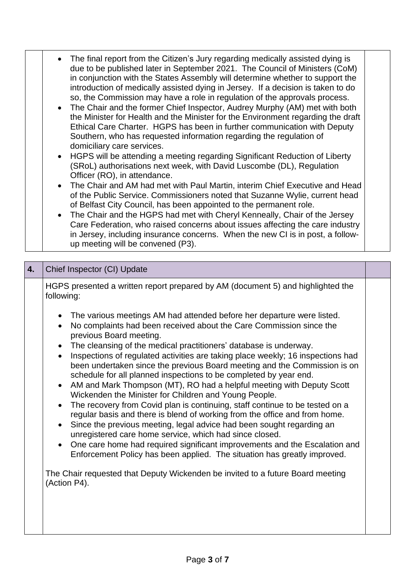- The final report from the Citizen's Jury regarding medically assisted dying is due to be published later in September 2021. The Council of Ministers (CoM) in conjunction with the States Assembly will determine whether to support the introduction of medically assisted dying in Jersey. If a decision is taken to do so, the Commission may have a role in regulation of the approvals process.
	- The Chair and the former Chief Inspector, Audrey Murphy (AM) met with both the Minister for Health and the Minister for the Environment regarding the draft Ethical Care Charter. HGPS has been in further communication with Deputy Southern, who has requested information regarding the regulation of domiciliary care services.
	- HGPS will be attending a meeting regarding Significant Reduction of Liberty (SRoL) authorisations next week, with David Luscombe (DL), Regulation Officer (RO), in attendance.
	- The Chair and AM had met with Paul Martin, interim Chief Executive and Head of the Public Service. Commissioners noted that Suzanne Wylie, current head of Belfast City Council, has been appointed to the permanent role.
	- The Chair and the HGPS had met with Cheryl Kenneally, Chair of the Jersey Care Federation, who raised concerns about issues affecting the care industry in Jersey, including insurance concerns. When the new CI is in post, a followup meeting will be convened (P3).

| HGPS presented a written report prepared by AM (document 5) and highlighted the<br>following:                                                                                                                                                                                                                                                                                                                                                                                                                                                                                                                                                                                                                                                                                                                                                                                                                                                                                                                                                                                                                                                                                                                                                                                 |
|-------------------------------------------------------------------------------------------------------------------------------------------------------------------------------------------------------------------------------------------------------------------------------------------------------------------------------------------------------------------------------------------------------------------------------------------------------------------------------------------------------------------------------------------------------------------------------------------------------------------------------------------------------------------------------------------------------------------------------------------------------------------------------------------------------------------------------------------------------------------------------------------------------------------------------------------------------------------------------------------------------------------------------------------------------------------------------------------------------------------------------------------------------------------------------------------------------------------------------------------------------------------------------|
| The various meetings AM had attended before her departure were listed.<br>No complaints had been received about the Care Commission since the<br>$\bullet$<br>previous Board meeting.<br>The cleansing of the medical practitioners' database is underway.<br>$\bullet$<br>Inspections of regulated activities are taking place weekly; 16 inspections had<br>$\bullet$<br>been undertaken since the previous Board meeting and the Commission is on<br>schedule for all planned inspections to be completed by year end.<br>AM and Mark Thompson (MT), RO had a helpful meeting with Deputy Scott<br>$\bullet$<br>Wickenden the Minister for Children and Young People.<br>The recovery from Covid plan is continuing, staff continue to be tested on a<br>$\bullet$<br>regular basis and there is blend of working from the office and from home.<br>Since the previous meeting, legal advice had been sought regarding an<br>$\bullet$<br>unregistered care home service, which had since closed.<br>One care home had required significant improvements and the Escalation and<br>$\bullet$<br>Enforcement Policy has been applied. The situation has greatly improved.<br>The Chair requested that Deputy Wickenden be invited to a future Board meeting<br>(Action P4). |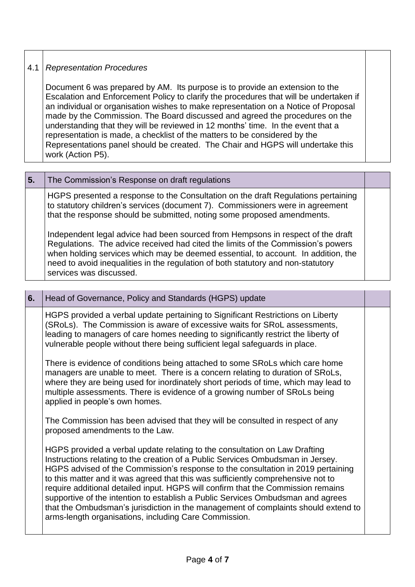### 4.1 *Representation Procedures*

Document 6 was prepared by AM. Its purpose is to provide an extension to the Escalation and Enforcement Policy to clarify the procedures that will be undertaken if an individual or organisation wishes to make representation on a Notice of Proposal made by the Commission. The Board discussed and agreed the procedures on the understanding that they will be reviewed in 12 months' time. In the event that a representation is made, a checklist of the matters to be considered by the Representations panel should be created. The Chair and HGPS will undertake this work (Action P5).

| 5. | The Commission's Response on draft regulations                                                                                                                                                                                                                                                                                                                          |  |
|----|-------------------------------------------------------------------------------------------------------------------------------------------------------------------------------------------------------------------------------------------------------------------------------------------------------------------------------------------------------------------------|--|
|    | HGPS presented a response to the Consultation on the draft Regulations pertaining<br>to statutory children's services (document 7). Commissioners were in agreement<br>that the response should be submitted, noting some proposed amendments.                                                                                                                          |  |
|    | Independent legal advice had been sourced from Hempsons in respect of the draft<br>Regulations. The advice received had cited the limits of the Commission's powers<br>when holding services which may be deemed essential, to account. In addition, the<br>need to avoid inequalities in the regulation of both statutory and non-statutory<br>services was discussed. |  |

# **6.** Head of Governance, Policy and Standards (HGPS) update HGPS provided a verbal update pertaining to Significant Restrictions on Liberty (SRoLs). The Commission is aware of excessive waits for SRoL assessments, leading to managers of care homes needing to significantly restrict the liberty of vulnerable people without there being sufficient legal safeguards in place. There is evidence of conditions being attached to some SRoLs which care home managers are unable to meet. There is a concern relating to duration of SRoLs, where they are being used for inordinately short periods of time, which may lead to multiple assessments. There is evidence of a growing number of SRoLs being applied in people's own homes. The Commission has been advised that they will be consulted in respect of any proposed amendments to the Law. HGPS provided a verbal update relating to the consultation on Law Drafting Instructions relating to the creation of a Public Services Ombudsman in Jersey. HGPS advised of the Commission's response to the consultation in 2019 pertaining to this matter and it was agreed that this was sufficiently comprehensive not to require additional detailed input. HGPS will confirm that the Commission remains supportive of the intention to establish a Public Services Ombudsman and agrees that the Ombudsman's jurisdiction in the management of complaints should extend to arms-length organisations, including Care Commission.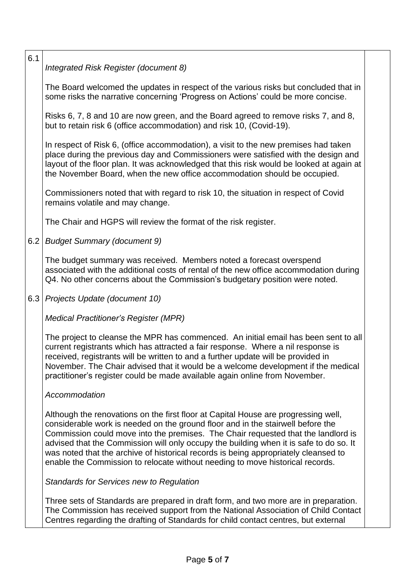## *Integrated Risk Register (document 8)*

6.1

The Board welcomed the updates in respect of the various risks but concluded that in some risks the narrative concerning 'Progress on Actions' could be more concise.

Risks 6, 7, 8 and 10 are now green, and the Board agreed to remove risks 7, and 8, but to retain risk 6 (office accommodation) and risk 10, (Covid-19).

In respect of Risk 6, (office accommodation), a visit to the new premises had taken place during the previous day and Commissioners were satisfied with the design and layout of the floor plan. It was acknowledged that this risk would be looked at again at the November Board, when the new office accommodation should be occupied.

Commissioners noted that with regard to risk 10, the situation in respect of Covid remains volatile and may change.

The Chair and HGPS will review the format of the risk register.

6.2 *Budget Summary (document 9)*

The budget summary was received. Members noted a forecast overspend associated with the additional costs of rental of the new office accommodation during Q4. No other concerns about the Commission's budgetary position were noted.

6.3 *Projects Update (document 10)*

*Medical Practitioner's Register (MPR)*

The project to cleanse the MPR has commenced. An initial email has been sent to all current registrants which has attracted a fair response. Where a nil response is received, registrants will be written to and a further update will be provided in November. The Chair advised that it would be a welcome development if the medical practitioner's register could be made available again online from November.

#### *Accommodation*

Although the renovations on the first floor at Capital House are progressing well, considerable work is needed on the ground floor and in the stairwell before the Commission could move into the premises. The Chair requested that the landlord is advised that the Commission will only occupy the building when it is safe to do so. It was noted that the archive of historical records is being appropriately cleansed to enable the Commission to relocate without needing to move historical records.

*Standards for Services new to Regulation*

Three sets of Standards are prepared in draft form, and two more are in preparation. The Commission has received support from the National Association of Child Contact Centres regarding the drafting of Standards for child contact centres, but external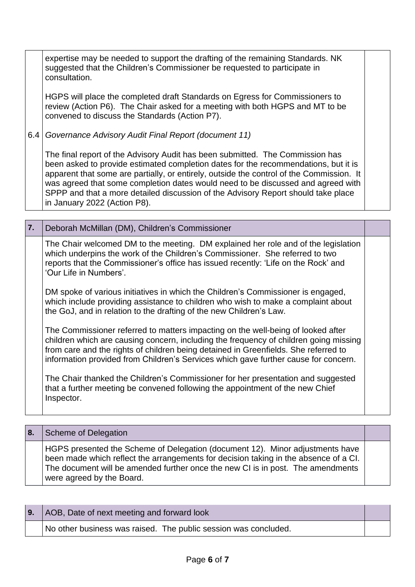expertise may be needed to support the drafting of the remaining Standards. NK suggested that the Children's Commissioner be requested to participate in consultation.

HGPS will place the completed draft Standards on Egress for Commissioners to review (Action P6). The Chair asked for a meeting with both HGPS and MT to be convened to discuss the Standards (Action P7).

6.4 *Governance Advisory Audit Final Report (document 11)*

The final report of the Advisory Audit has been submitted. The Commission has been asked to provide estimated completion dates for the recommendations, but it is apparent that some are partially, or entirely, outside the control of the Commission. It was agreed that some completion dates would need to be discussed and agreed with SPPP and that a more detailed discussion of the Advisory Report should take place in January 2022 (Action P8).

| 7. | Deborah McMillan (DM), Children's Commissioner                                                                                                                                                                                                                                                                                                          |  |
|----|---------------------------------------------------------------------------------------------------------------------------------------------------------------------------------------------------------------------------------------------------------------------------------------------------------------------------------------------------------|--|
|    | The Chair welcomed DM to the meeting. DM explained her role and of the legislation<br>which underpins the work of the Children's Commissioner. She referred to two<br>reports that the Commissioner's office has issued recently: 'Life on the Rock' and<br>'Our Life in Numbers'.                                                                      |  |
|    | DM spoke of various initiatives in which the Children's Commissioner is engaged,<br>which include providing assistance to children who wish to make a complaint about<br>the GoJ, and in relation to the drafting of the new Children's Law.                                                                                                            |  |
|    | The Commissioner referred to matters impacting on the well-being of looked after<br>children which are causing concern, including the frequency of children going missing<br>from care and the rights of children being detained in Greenfields. She referred to<br>information provided from Children's Services which gave further cause for concern. |  |
|    | The Chair thanked the Children's Commissioner for her presentation and suggested<br>that a further meeting be convened following the appointment of the new Chief<br>Inspector.                                                                                                                                                                         |  |

| -8. | Scheme of Delegation                                                                                                                                                                                                                                                                  |  |
|-----|---------------------------------------------------------------------------------------------------------------------------------------------------------------------------------------------------------------------------------------------------------------------------------------|--|
|     | HGPS presented the Scheme of Delegation (document 12). Minor adjustments have<br>been made which reflect the arrangements for decision taking in the absence of a CI.<br>The document will be amended further once the new CI is in post. The amendments<br>were agreed by the Board. |  |

| 9. AOB, Date of next meeting and forward look                   |  |
|-----------------------------------------------------------------|--|
| No other business was raised. The public session was concluded. |  |